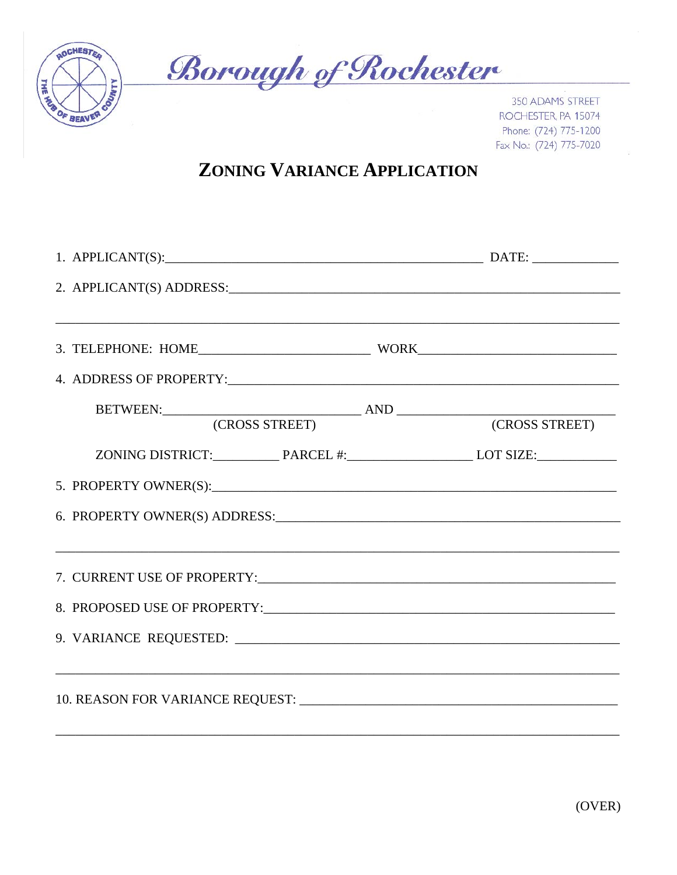

**Borough of Rochester** 

350 ADAMS STREET ROCHESTER, PA 15074 Phone: (724) 775-1200 Fax No.: (724) 775-7020

## **ZONING VARIANCE APPLICATION**

| 1. APPLICANT(S): DATE: DATE:  |                |
|-------------------------------|----------------|
| 2. APPLICANT(S) ADDRESS:      |                |
|                               |                |
|                               |                |
|                               |                |
| (CROSS STREET)                | (CROSS STREET) |
|                               |                |
|                               |                |
| 6. PROPERTY OWNER(S) ADDRESS: |                |
|                               |                |
|                               |                |
|                               |                |
|                               |                |
|                               |                |
|                               |                |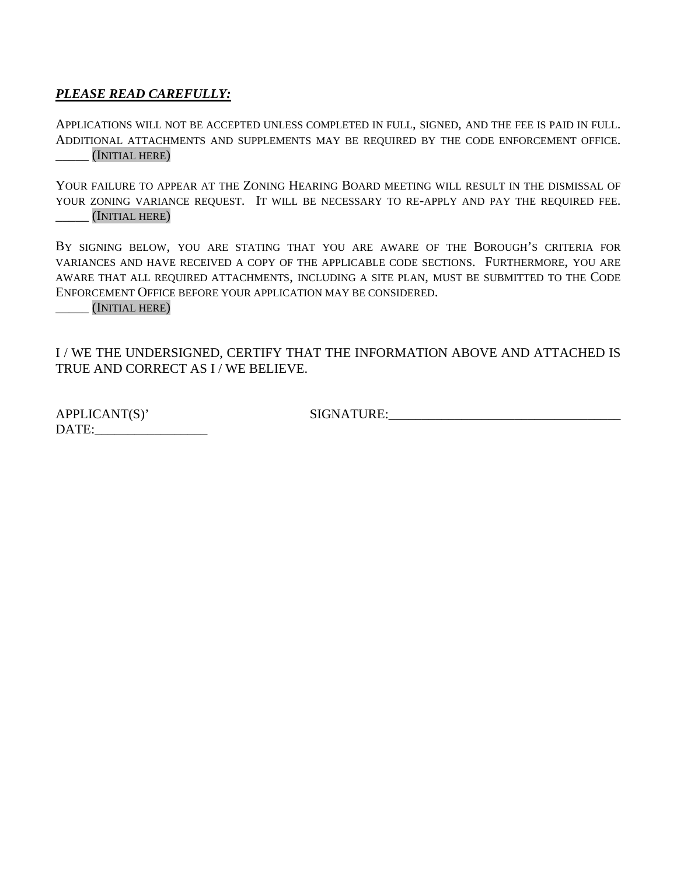## *PLEASE READ CAREFULLY:*

APPLICATIONS WILL NOT BE ACCEPTED UNLESS COMPLETED IN FULL, SIGNED, AND THE FEE IS PAID IN FULL. ADDITIONAL ATTACHMENTS AND SUPPLEMENTS MAY BE REQUIRED BY THE CODE ENFORCEMENT OFFICE. \_\_\_\_\_ (INITIAL HERE)

YOUR FAILURE TO APPEAR AT THE ZONING HEARING BOARD MEETING WILL RESULT IN THE DISMISSAL OF YOUR ZONING VARIANCE REQUEST. IT WILL BE NECESSARY TO RE-APPLY AND PAY THE REQUIRED FEE. \_\_\_\_\_ (INITIAL HERE)

BY SIGNING BELOW, YOU ARE STATING THAT YOU ARE AWARE OF THE BOROUGH'S CRITERIA FOR VARIANCES AND HAVE RECEIVED A COPY OF THE APPLICABLE CODE SECTIONS. FURTHERMORE, YOU ARE AWARE THAT ALL REQUIRED ATTACHMENTS, INCLUDING A SITE PLAN, MUST BE SUBMITTED TO THE CODE ENFORCEMENT OFFICE BEFORE YOUR APPLICATION MAY BE CONSIDERED.

\_\_\_\_\_ (INITIAL HERE)

I / WE THE UNDERSIGNED, CERTIFY THAT THE INFORMATION ABOVE AND ATTACHED IS TRUE AND CORRECT AS I / WE BELIEVE.

APPLICANT(S)' SIGNATURE: DATE:\_\_\_\_\_\_\_\_\_\_\_\_\_\_\_\_\_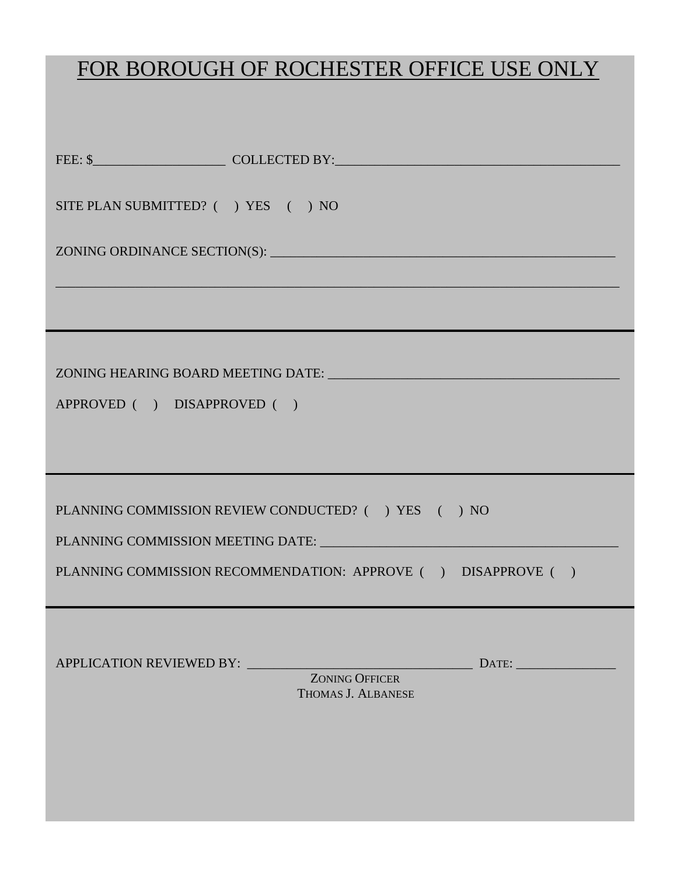## FOR BOROUGH OF ROCHESTER OFFICE USE ONLY

| SITE PLAN SUBMITTED? () YES () NO                              |                                             |  |
|----------------------------------------------------------------|---------------------------------------------|--|
|                                                                |                                             |  |
|                                                                |                                             |  |
|                                                                |                                             |  |
|                                                                |                                             |  |
| APPROVED ( ) DISAPPROVED ( )                                   |                                             |  |
|                                                                |                                             |  |
| PLANNING COMMISSION REVIEW CONDUCTED? ( ) YES ( ) NO           |                                             |  |
|                                                                |                                             |  |
|                                                                |                                             |  |
| PLANNING COMMISSION RECOMMENDATION: APPROVE ( ) DISAPPROVE ( ) |                                             |  |
|                                                                |                                             |  |
| <b>APPLICATION REVIEWED BY:</b>                                | $\text{DATE:}$                              |  |
|                                                                | <b>ZONING OFFICER</b><br>THOMAS J. ALBANESE |  |
|                                                                |                                             |  |
|                                                                |                                             |  |
|                                                                |                                             |  |
|                                                                |                                             |  |
|                                                                |                                             |  |